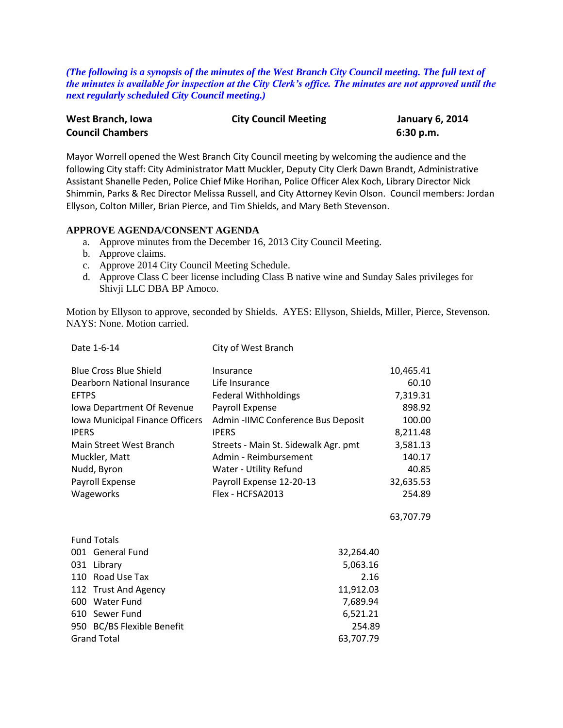*(The following is a synopsis of the minutes of the West Branch City Council meeting. The full text of the minutes is available for inspection at the City Clerk's office. The minutes are not approved until the next regularly scheduled City Council meeting.)*

| West Branch, Iowa       | <b>City Council Meeting</b> | <b>January 6, 2014</b> |
|-------------------------|-----------------------------|------------------------|
| <b>Council Chambers</b> |                             | 6:30 p.m.              |

Mayor Worrell opened the West Branch City Council meeting by welcoming the audience and the following City staff: City Administrator Matt Muckler, Deputy City Clerk Dawn Brandt, Administrative Assistant Shanelle Peden, Police Chief Mike Horihan, Police Officer Alex Koch, Library Director Nick Shimmin, Parks & Rec Director Melissa Russell, and City Attorney Kevin Olson. Council members: Jordan Ellyson, Colton Miller, Brian Pierce, and Tim Shields, and Mary Beth Stevenson.

#### **APPROVE AGENDA/CONSENT AGENDA**

- a. Approve minutes from the December 16, 2013 City Council Meeting.
- b. Approve claims.
- c. Approve 2014 City Council Meeting Schedule.

Date 1-6-14 City of West Branch

d. Approve Class C beer license including Class B native wine and Sunday Sales privileges for Shivji LLC DBA BP Amoco.

Motion by Ellyson to approve, seconded by Shields. AYES: Ellyson, Shields, Miller, Pierce, Stevenson. NAYS: None. Motion carried.

| Pale 1-0-14                     | CILY UI VVESL DI AIICH               |           |
|---------------------------------|--------------------------------------|-----------|
| <b>Blue Cross Blue Shield</b>   | Insurance                            | 10,465.41 |
| Dearborn National Insurance     | Life Insurance                       | 60.10     |
| <b>EFTPS</b>                    | <b>Federal Withholdings</b>          | 7,319.31  |
| Iowa Department Of Revenue      | Payroll Expense                      | 898.92    |
| Iowa Municipal Finance Officers | Admin - IIMC Conference Bus Deposit  | 100.00    |
| <b>IPERS</b>                    | <b>IPERS</b>                         | 8,211.48  |
| Main Street West Branch         | Streets - Main St. Sidewalk Agr. pmt | 3,581.13  |
| Muckler, Matt                   | Admin - Reimbursement                | 140.17    |
| Nudd, Byron                     | Water - Utility Refund               | 40.85     |
| Payroll Expense                 | Payroll Expense 12-20-13             | 32,635.53 |
| Wageworks                       | Flex - HCFSA2013                     | 254.89    |
|                                 |                                      | 63,707.79 |
| <b>Fund Totals</b>              |                                      |           |
| 001 General Fund                | 32,264.40                            |           |
| 031 Library                     | 5,063.16                             |           |
| 110 Road Use Tax                | 2.16                                 |           |
| 112 Trust And Agency            | 11,912.03                            |           |
| 600 Water Fund                  | 7,689.94                             |           |
| 610 Sewer Fund                  | 6,521.21                             |           |
| 950 BC/BS Flexible Benefit      | 254.89                               |           |
| <b>Grand Total</b>              | 63,707.79                            |           |
|                                 |                                      |           |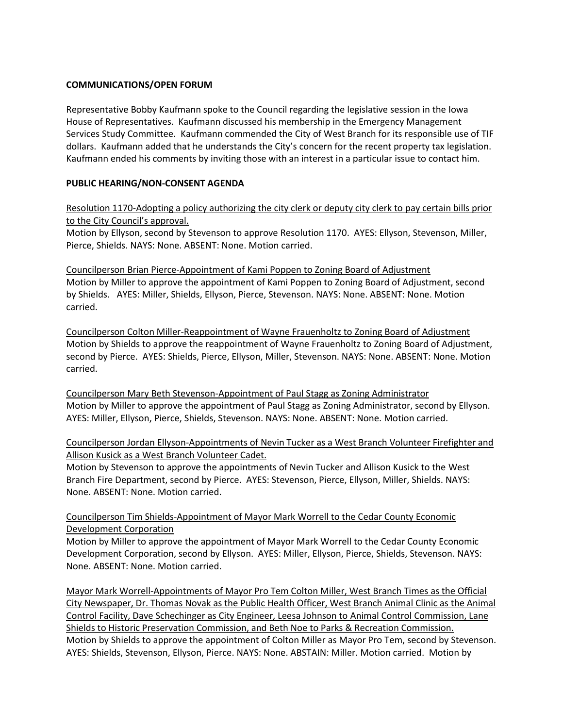#### **COMMUNICATIONS/OPEN FORUM**

Representative Bobby Kaufmann spoke to the Council regarding the legislative session in the Iowa House of Representatives. Kaufmann discussed his membership in the Emergency Management Services Study Committee. Kaufmann commended the City of West Branch for its responsible use of TIF dollars. Kaufmann added that he understands the City's concern for the recent property tax legislation. Kaufmann ended his comments by inviting those with an interest in a particular issue to contact him.

#### **PUBLIC HEARING/NON-CONSENT AGENDA**

Resolution 1170-Adopting a policy authorizing the city clerk or deputy city clerk to pay certain bills prior to the City Council's approval.

Motion by Ellyson, second by Stevenson to approve Resolution 1170. AYES: Ellyson, Stevenson, Miller, Pierce, Shields. NAYS: None. ABSENT: None. Motion carried.

Councilperson Brian Pierce-Appointment of Kami Poppen to Zoning Board of Adjustment Motion by Miller to approve the appointment of Kami Poppen to Zoning Board of Adjustment, second by Shields. AYES: Miller, Shields, Ellyson, Pierce, Stevenson. NAYS: None. ABSENT: None. Motion carried.

Councilperson Colton Miller-Reappointment of Wayne Frauenholtz to Zoning Board of Adjustment Motion by Shields to approve the reappointment of Wayne Frauenholtz to Zoning Board of Adjustment, second by Pierce. AYES: Shields, Pierce, Ellyson, Miller, Stevenson. NAYS: None. ABSENT: None. Motion carried.

Councilperson Mary Beth Stevenson-Appointment of Paul Stagg as Zoning Administrator Motion by Miller to approve the appointment of Paul Stagg as Zoning Administrator, second by Ellyson. AYES: Miller, Ellyson, Pierce, Shields, Stevenson. NAYS: None. ABSENT: None. Motion carried.

# Councilperson Jordan Ellyson-Appointments of Nevin Tucker as a West Branch Volunteer Firefighter and Allison Kusick as a West Branch Volunteer Cadet.

Motion by Stevenson to approve the appointments of Nevin Tucker and Allison Kusick to the West Branch Fire Department, second by Pierce. AYES: Stevenson, Pierce, Ellyson, Miller, Shields. NAYS: None. ABSENT: None. Motion carried.

# Councilperson Tim Shields-Appointment of Mayor Mark Worrell to the Cedar County Economic Development Corporation

Motion by Miller to approve the appointment of Mayor Mark Worrell to the Cedar County Economic Development Corporation, second by Ellyson. AYES: Miller, Ellyson, Pierce, Shields, Stevenson. NAYS: None. ABSENT: None. Motion carried.

Mayor Mark Worrell-Appointments of Mayor Pro Tem Colton Miller, West Branch Times as the Official City Newspaper, Dr. Thomas Novak as the Public Health Officer, West Branch Animal Clinic as the Animal Control Facility, Dave Schechinger as City Engineer, Leesa Johnson to Animal Control Commission, Lane Shields to Historic Preservation Commission, and Beth Noe to Parks & Recreation Commission. Motion by Shields to approve the appointment of Colton Miller as Mayor Pro Tem, second by Stevenson. AYES: Shields, Stevenson, Ellyson, Pierce. NAYS: None. ABSTAIN: Miller. Motion carried. Motion by